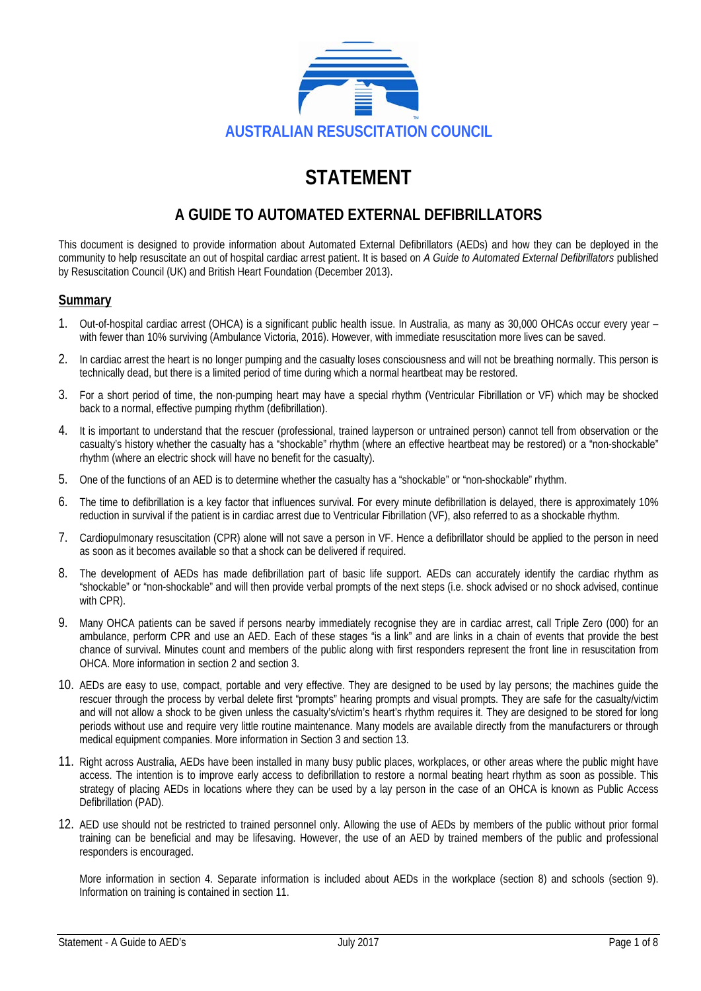

# **STATEMENT**

## **A GUIDE TO AUTOMATED EXTERNAL DEFIBRILLATORS**

This document is designed to provide information about Automated External Defibrillators (AEDs) and how they can be deployed in the community to help resuscitate an out of hospital cardiac arrest patient. It is based on *A Guide to Automated External Defibrillators* published by Resuscitation Council (UK) and British Heart Foundation (December 2013).

#### **Summary**

- 1. Out-of-hospital cardiac arrest (OHCA) is a significant public health issue. In Australia, as many as 30,000 OHCAs occur every year with fewer than 10% surviving (Ambulance Victoria, 2016). However, with immediate resuscitation more lives can be saved.
- 2. In cardiac arrest the heart is no longer pumping and the casualty loses consciousness and will not be breathing normally. This person is technically dead, but there is a limited period of time during which a normal heartbeat may be restored.
- 3. For a short period of time, the non-pumping heart may have a special rhythm (Ventricular Fibrillation or VF) which may be shocked back to a normal, effective pumping rhythm (defibrillation).
- 4. It is important to understand that the rescuer (professional, trained layperson or untrained person) cannot tell from observation or the casualty's history whether the casualty has a "shockable" rhythm (where an effective heartbeat may be restored) or a "non-shockable" rhythm (where an electric shock will have no benefit for the casualty).
- 5. One of the functions of an AED is to determine whether the casualty has a "shockable" or "non-shockable" rhythm.
- 6. The time to defibrillation is a key factor that influences survival. For every minute defibrillation is delayed, there is approximately 10% reduction in survival if the patient is in cardiac arrest due to Ventricular Fibrillation (VF), also referred to as a shockable rhythm.
- 7. Cardiopulmonary resuscitation (CPR) alone will not save a person in VF. Hence a defibrillator should be applied to the person in need as soon as it becomes available so that a shock can be delivered if required.
- 8. The development of AEDs has made defibrillation part of basic life support. AEDs can accurately identify the cardiac rhythm as "shockable" or "non-shockable" and will then provide verbal prompts of the next steps (i.e. shock advised or no shock advised, continue with CPR).
- 9. Many OHCA patients can be saved if persons nearby immediately recognise they are in cardiac arrest, call Triple Zero (000) for an ambulance, perform CPR and use an AED. Each of these stages "is a link" and are links in a chain of events that provide the best chance of survival. Minutes count and members of the public along with first responders represent the front line in resuscitation from OHCA. More information in section 2 and section 3.
- 10. AEDs are easy to use, compact, portable and very effective. They are designed to be used by lay persons; the machines guide the rescuer through the process by verbal delete first "prompts" hearing prompts and visual prompts. They are safe for the casualty/victim and will not allow a shock to be given unless the casualty's/victim's heart's rhythm requires it. They are designed to be stored for long periods without use and require very little routine maintenance. Many models are available directly from the manufacturers or through medical equipment companies. More information in Section 3 and section 13.
- 11. Right across Australia, AEDs have been installed in many busy public places, workplaces, or other areas where the public might have access. The intention is to improve early access to defibrillation to restore a normal beating heart rhythm as soon as possible. This strategy of placing AEDs in locations where they can be used by a lay person in the case of an OHCA is known as Public Access Defibrillation (PAD).
- 12. AED use should not be restricted to trained personnel only. Allowing the use of AEDs by members of the public without prior formal training can be beneficial and may be lifesaving. However, the use of an AED by trained members of the public and professional responders is encouraged.

More information in section 4. Separate information is included about AEDs in the workplace (section 8) and schools (section 9). Information on training is contained in section 11.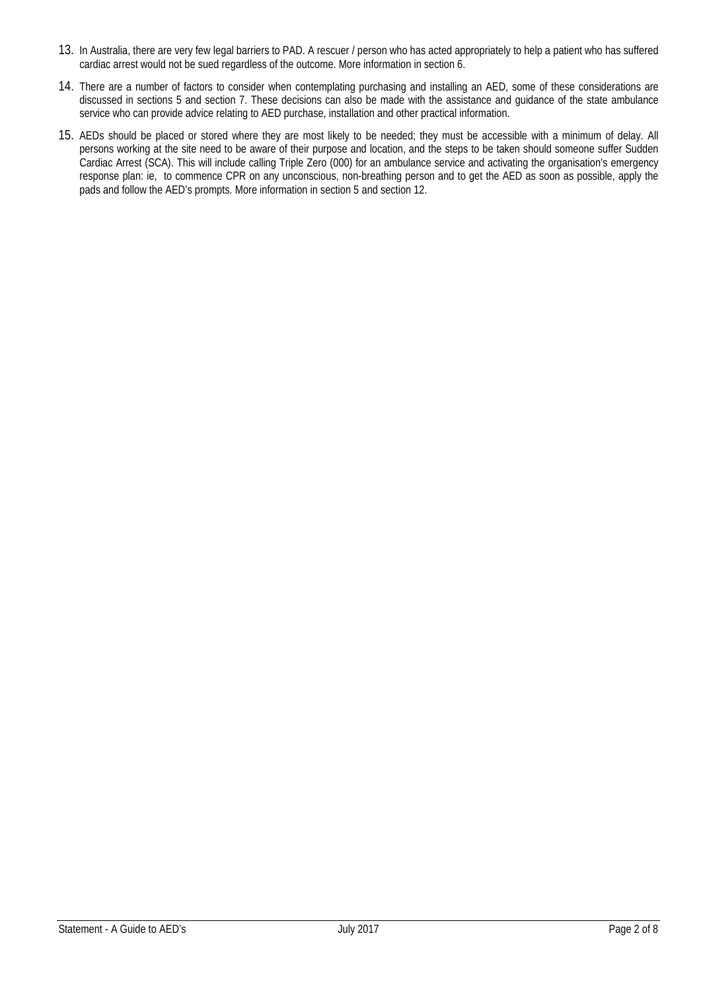- 13. In Australia, there are very few legal barriers to PAD. A rescuer / person who has acted appropriately to help a patient who has suffered cardiac arrest would not be sued regardless of the outcome. More information in section 6.
- 14. There are a number of factors to consider when contemplating purchasing and installing an AED, some of these considerations are discussed in sections 5 and section 7. These decisions can also be made with the assistance and guidance of the state ambulance service who can provide advice relating to AED purchase, installation and other practical information.
- 15. AEDs should be placed or stored where they are most likely to be needed; they must be accessible with a minimum of delay. All persons working at the site need to be aware of their purpose and location, and the steps to be taken should someone suffer Sudden Cardiac Arrest (SCA). This will include calling Triple Zero (000) for an ambulance service and activating the organisation's emergency response plan: ie, to commence CPR on any unconscious, non-breathing person and to get the AED as soon as possible, apply the pads and follow the AED's prompts. More information in section 5 and section 12.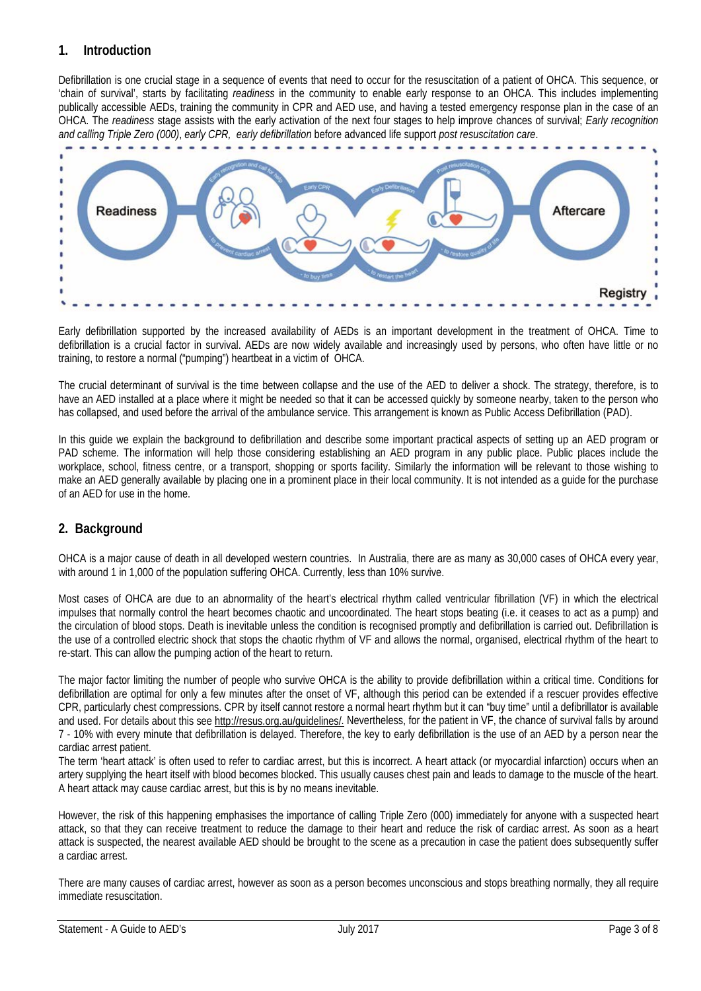## **1. Introduction**

Defibrillation is one crucial stage in a sequence of events that need to occur for the resuscitation of a patient of OHCA. This sequence, or 'chain of survival', starts by facilitating *readiness* in the community to enable early response to an OHCA. This includes implementing publically accessible AEDs, training the community in CPR and AED use, and having a tested emergency response plan in the case of an OHCA. The *readiness* stage assists with the early activation of the next four stages to help improve chances of survival; *Early recognition and calling Triple Zero (000)*, *early CPR, early defibrillation* before advanced life support *post resuscitation care*.



Early defibrillation supported by the increased availability of AEDs is an important development in the treatment of OHCA. Time to defibrillation is a crucial factor in survival. AEDs are now widely available and increasingly used by persons, who often have little or no training, to restore a normal ("pumping") heartbeat in a victim of OHCA.

The crucial determinant of survival is the time between collapse and the use of the AED to deliver a shock. The strategy, therefore, is to have an AED installed at a place where it might be needed so that it can be accessed quickly by someone nearby, taken to the person who has collapsed, and used before the arrival of the ambulance service. This arrangement is known as Public Access Defibrillation (PAD).

In this guide we explain the background to defibrillation and describe some important practical aspects of setting up an AED program or PAD scheme. The information will help those considering establishing an AED program in any public place. Public places include the workplace, school, fitness centre, or a transport, shopping or sports facility. Similarly the information will be relevant to those wishing to make an AED generally available by placing one in a prominent place in their local community. It is not intended as a guide for the purchase of an AED for use in the home.

## **2. Background**

OHCA is a major cause of death in all developed western countries. In Australia, there are as many as 30,000 cases of OHCA every year, with around 1 in 1,000 of the population suffering OHCA. Currently, less than 10% survive.

Most cases of OHCA are due to an abnormality of the heart's electrical rhythm called ventricular fibrillation (VF) in which the electrical impulses that normally control the heart becomes chaotic and uncoordinated. The heart stops beating (i.e. it ceases to act as a pump) and the circulation of blood stops. Death is inevitable unless the condition is recognised promptly and defibrillation is carried out. Defibrillation is the use of a controlled electric shock that stops the chaotic rhythm of VF and allows the normal, organised, electrical rhythm of the heart to re-start. This can allow the pumping action of the heart to return.

The major factor limiting the number of people who survive OHCA is the ability to provide defibrillation within a critical time. Conditions for defibrillation are optimal for only a few minutes after the onset of VF, although this period can be extended if a rescuer provides effective CPR, particularly chest compressions. CPR by itself cannot restore a normal heart rhythm but it can "buy time" until a defibrillator is available and used. For details about this se[e http://resus.org.au/guidelines/.](http://resus.org.au/guidelines/) Nevertheless, for the patient in VF, the chance of survival falls by around 7 - 10% with every minute that defibrillation is delayed. Therefore, the key to early defibrillation is the use of an AED by a person near the cardiac arrest patient.

The term 'heart attack' is often used to refer to cardiac arrest, but this is incorrect. A heart attack (or myocardial infarction) occurs when an artery supplying the heart itself with blood becomes blocked. This usually causes chest pain and leads to damage to the muscle of the heart. A heart attack may cause cardiac arrest, but this is by no means inevitable.

However, the risk of this happening emphasises the importance of calling Triple Zero (000) immediately for anyone with a suspected heart attack, so that they can receive treatment to reduce the damage to their heart and reduce the risk of cardiac arrest. As soon as a heart attack is suspected, the nearest available AED should be brought to the scene as a precaution in case the patient does subsequently suffer a cardiac arrest.

There are many causes of cardiac arrest, however as soon as a person becomes unconscious and stops breathing normally, they all require immediate resuscitation.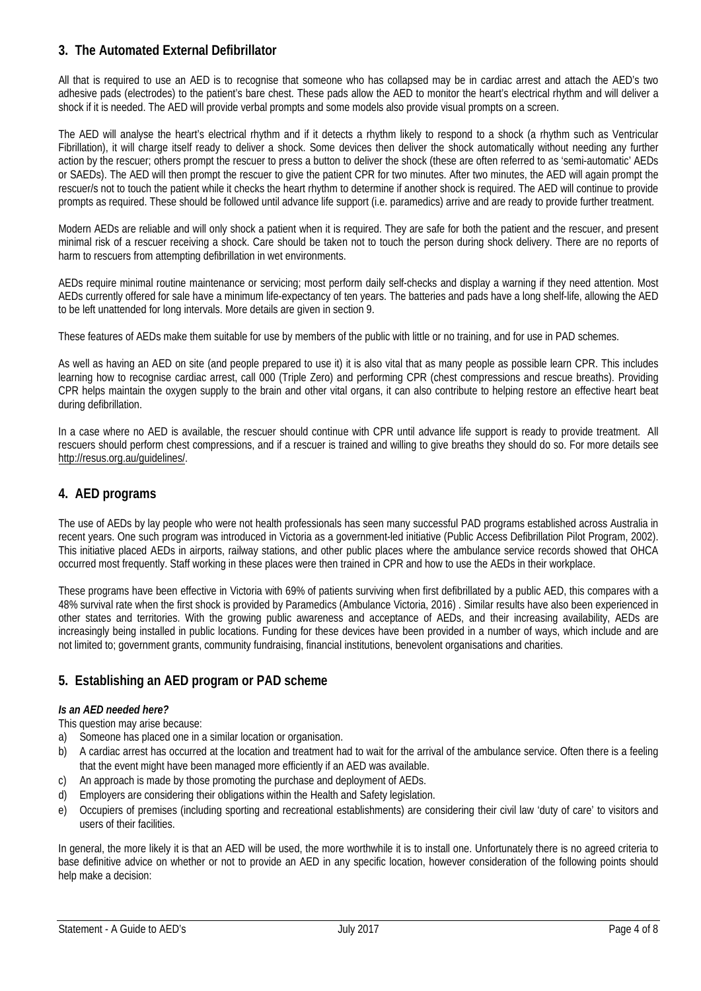## **3. The Automated External Defibrillator**

All that is required to use an AED is to recognise that someone who has collapsed may be in cardiac arrest and attach the AED's two adhesive pads (electrodes) to the patient's bare chest. These pads allow the AED to monitor the heart's electrical rhythm and will deliver a shock if it is needed. The AED will provide verbal prompts and some models also provide visual prompts on a screen.

The AED will analyse the heart's electrical rhythm and if it detects a rhythm likely to respond to a shock (a rhythm such as Ventricular Fibrillation), it will charge itself ready to deliver a shock. Some devices then deliver the shock automatically without needing any further action by the rescuer; others prompt the rescuer to press a button to deliver the shock (these are often referred to as 'semi-automatic' AEDs or SAEDs). The AED will then prompt the rescuer to give the patient CPR for two minutes. After two minutes, the AED will again prompt the rescuer/s not to touch the patient while it checks the heart rhythm to determine if another shock is required. The AED will continue to provide prompts as required. These should be followed until advance life support (i.e. paramedics) arrive and are ready to provide further treatment.

Modern AEDs are reliable and will only shock a patient when it is required. They are safe for both the patient and the rescuer, and present minimal risk of a rescuer receiving a shock. Care should be taken not to touch the person during shock delivery. There are no reports of harm to rescuers from attempting defibrillation in wet environments.

AEDs require minimal routine maintenance or servicing; most perform daily self-checks and display a warning if they need attention. Most AEDs currently offered for sale have a minimum life-expectancy of ten years. The batteries and pads have a long shelf-life, allowing the AED to be left unattended for long intervals. More details are given in section 9.

These features of AEDs make them suitable for use by members of the public with little or no training, and for use in PAD schemes.

As well as having an AED on site (and people prepared to use it) it is also vital that as many people as possible learn CPR. This includes learning how to recognise cardiac arrest, call 000 (Triple Zero) and performing CPR (chest compressions and rescue breaths). Providing CPR helps maintain the oxygen supply to the brain and other vital organs, it can also contribute to helping restore an effective heart beat during defibrillation.

In a case where no AED is available, the rescuer should continue with CPR until advance life support is ready to provide treatment. All rescuers should perform chest compressions, and if a rescuer is trained and willing to give breaths they should do so. For more details see [http://resus.org.au/guidelines/.](http://resus.org.au/guidelines/)

## **4. AED programs**

The use of AEDs by lay people who were not health professionals has seen many successful PAD programs established across Australia in recent years. One such program was introduced in Victoria as a government-led initiative (Public Access Defibrillation Pilot Program, 2002). This initiative placed AEDs in airports, railway stations, and other public places where the ambulance service records showed that OHCA occurred most frequently. Staff working in these places were then trained in CPR and how to use the AEDs in their workplace.

These programs have been effective in Victoria with 69% of patients surviving when first defibrillated by a public AED, this compares with a 48% survival rate when the first shock is provided by Paramedics (Ambulance Victoria, 2016) . Similar results have also been experienced in other states and territories. With the growing public awareness and acceptance of AEDs, and their increasing availability, AEDs are increasingly being installed in public locations. Funding for these devices have been provided in a number of ways, which include and are not limited to; government grants, community fundraising, financial institutions, benevolent organisations and charities.

## **5. Establishing an AED program or PAD scheme**

#### *Is an AED needed here?*

This question may arise because:

- a) Someone has placed one in a similar location or organisation.
- b) A cardiac arrest has occurred at the location and treatment had to wait for the arrival of the ambulance service. Often there is a feeling that the event might have been managed more efficiently if an AED was available.
- c) An approach is made by those promoting the purchase and deployment of AEDs.
- d) Employers are considering their obligations within the Health and Safety legislation.
- e) Occupiers of premises (including sporting and recreational establishments) are considering their civil law 'duty of care' to visitors and users of their facilities.

In general, the more likely it is that an AED will be used, the more worthwhile it is to install one. Unfortunately there is no agreed criteria to base definitive advice on whether or not to provide an AED in any specific location, however consideration of the following points should help make a decision: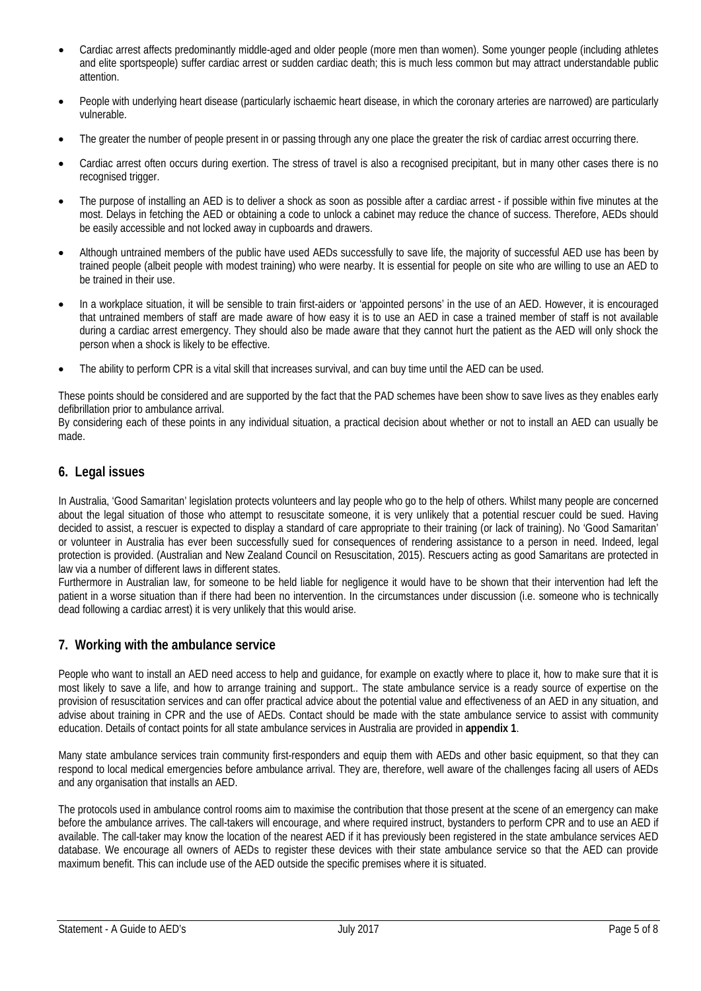- Cardiac arrest affects predominantly middle-aged and older people (more men than women). Some younger people (including athletes and elite sportspeople) suffer cardiac arrest or sudden cardiac death; this is much less common but may attract understandable public attention.
- People with underlying heart disease (particularly ischaemic heart disease, in which the coronary arteries are narrowed) are particularly vulnerable.
- The greater the number of people present in or passing through any one place the greater the risk of cardiac arrest occurring there.
- Cardiac arrest often occurs during exertion. The stress of travel is also a recognised precipitant, but in many other cases there is no recognised trigger.
- The purpose of installing an AED is to deliver a shock as soon as possible after a cardiac arrest if possible within five minutes at the most. Delays in fetching the AED or obtaining a code to unlock a cabinet may reduce the chance of success. Therefore, AEDs should be easily accessible and not locked away in cupboards and drawers.
- Although untrained members of the public have used AEDs successfully to save life, the majority of successful AED use has been by trained people (albeit people with modest training) who were nearby. It is essential for people on site who are willing to use an AED to be trained in their use.
- In a workplace situation, it will be sensible to train first-aiders or 'appointed persons' in the use of an AED. However, it is encouraged that untrained members of staff are made aware of how easy it is to use an AED in case a trained member of staff is not available during a cardiac arrest emergency. They should also be made aware that they cannot hurt the patient as the AED will only shock the person when a shock is likely to be effective.
- The ability to perform CPR is a vital skill that increases survival, and can buy time until the AED can be used.

These points should be considered and are supported by the fact that the PAD schemes have been show to save lives as they enables early defibrillation prior to ambulance arrival.

By considering each of these points in any individual situation, a practical decision about whether or not to install an AED can usually be made.

#### **6. Legal issues**

In Australia, 'Good Samaritan' legislation protects volunteers and lay people who go to the help of others. Whilst many people are concerned about the legal situation of those who attempt to resuscitate someone, it is very unlikely that a potential rescuer could be sued. Having decided to assist, a rescuer is expected to display a standard of care appropriate to their training (or lack of training). No 'Good Samaritan' or volunteer in Australia has ever been successfully sued for consequences of rendering assistance to a person in need. Indeed, legal protection is provided. (Australian and New Zealand Council on Resuscitation, 2015). Rescuers acting as good Samaritans are protected in law via a number of different laws in different states.

Furthermore in Australian law, for someone to be held liable for negligence it would have to be shown that their intervention had left the patient in a worse situation than if there had been no intervention. In the circumstances under discussion (i.e. someone who is technically dead following a cardiac arrest) it is very unlikely that this would arise.

#### **7. Working with the ambulance service**

People who want to install an AED need access to help and guidance, for example on exactly where to place it, how to make sure that it is most likely to save a life, and how to arrange training and support.. The state ambulance service is a ready source of expertise on the provision of resuscitation services and can offer practical advice about the potential value and effectiveness of an AED in any situation, and advise about training in CPR and the use of AEDs. Contact should be made with the state ambulance service to assist with community education. Details of contact points for all state ambulance services in Australia are provided in **appendix 1**.

Many state ambulance services train community first-responders and equip them with AEDs and other basic equipment, so that they can respond to local medical emergencies before ambulance arrival. They are, therefore, well aware of the challenges facing all users of AEDs and any organisation that installs an AED.

The protocols used in ambulance control rooms aim to maximise the contribution that those present at the scene of an emergency can make before the ambulance arrives. The call-takers will encourage, and where required instruct, bystanders to perform CPR and to use an AED if available. The call-taker may know the location of the nearest AED if it has previously been registered in the state ambulance services AED database. We encourage all owners of AEDs to register these devices with their state ambulance service so that the AED can provide maximum benefit. This can include use of the AED outside the specific premises where it is situated.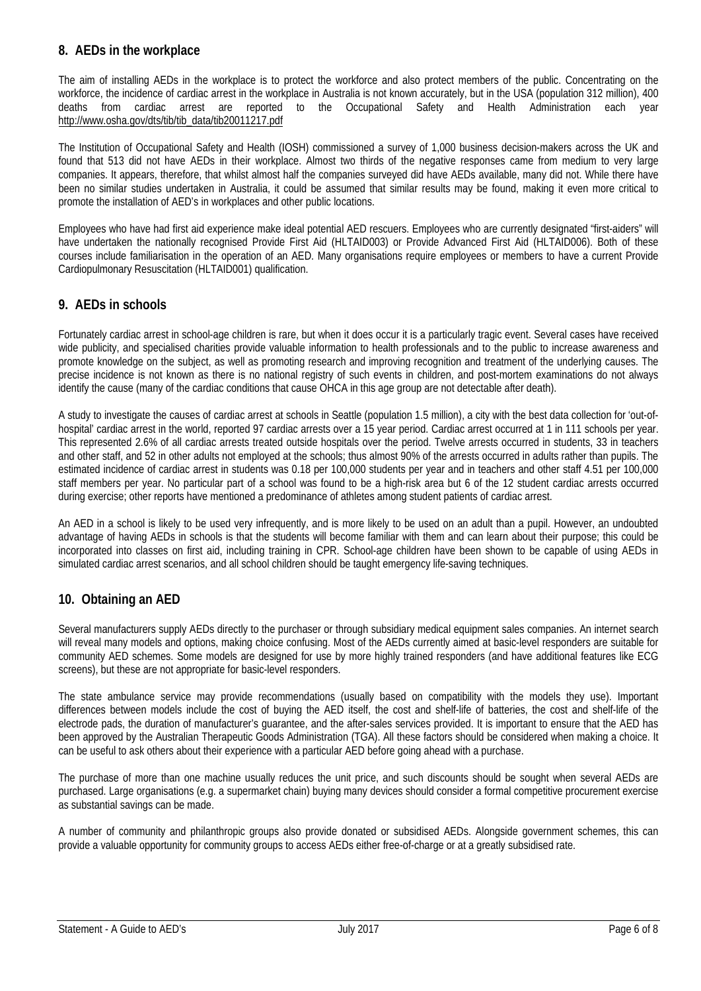## **8. AEDs in the workplace**

The aim of installing AEDs in the workplace is to protect the workforce and also protect members of the public. Concentrating on the workforce, the incidence of cardiac arrest in the workplace in Australia is not known accurately, but in the USA (population 312 million), 400 deaths from cardiac arrest are reported to the Occupational Safety and Health Administration each year [http://www.osha.gov/dts/tib/tib\\_data/tib20011217.pdf](http://www.osha.gov/dts/tib/tib_data/tib20011217.pdf)

The Institution of Occupational Safety and Health (IOSH) commissioned a survey of 1,000 business decision-makers across the UK and found that 513 did not have AEDs in their workplace. Almost two thirds of the negative responses came from medium to very large companies. It appears, therefore, that whilst almost half the companies surveyed did have AEDs available, many did not. While there have been no similar studies undertaken in Australia, it could be assumed that similar results may be found, making it even more critical to promote the installation of AED's in workplaces and other public locations.

Employees who have had first aid experience make ideal potential AED rescuers. Employees who are currently designated "first-aiders" will have undertaken the nationally recognised Provide First Aid (HLTAID003) or Provide Advanced First Aid (HLTAID006). Both of these courses include familiarisation in the operation of an AED. Many organisations require employees or members to have a current Provide Cardiopulmonary Resuscitation (HLTAID001) qualification.

#### **9. AEDs in schools**

Fortunately cardiac arrest in school-age children is rare, but when it does occur it is a particularly tragic event. Several cases have received wide publicity, and specialised charities provide valuable information to health professionals and to the public to increase awareness and promote knowledge on the subject, as well as promoting research and improving recognition and treatment of the underlying causes. The precise incidence is not known as there is no national registry of such events in children, and post-mortem examinations do not always identify the cause (many of the cardiac conditions that cause OHCA in this age group are not detectable after death).

A study to investigate the causes of cardiac arrest at schools in Seattle (population 1.5 million), a city with the best data collection for 'out-ofhospital' cardiac arrest in the world, reported 97 cardiac arrests over a 15 year period. Cardiac arrest occurred at 1 in 111 schools per year. This represented 2.6% of all cardiac arrests treated outside hospitals over the period. Twelve arrests occurred in students, 33 in teachers and other staff, and 52 in other adults not employed at the schools; thus almost 90% of the arrests occurred in adults rather than pupils. The estimated incidence of cardiac arrest in students was 0.18 per 100,000 students per year and in teachers and other staff 4.51 per 100,000 staff members per year. No particular part of a school was found to be a high-risk area but 6 of the 12 student cardiac arrests occurred during exercise; other reports have mentioned a predominance of athletes among student patients of cardiac arrest.

An AED in a school is likely to be used very infrequently, and is more likely to be used on an adult than a pupil. However, an undoubted advantage of having AEDs in schools is that the students will become familiar with them and can learn about their purpose; this could be incorporated into classes on first aid, including training in CPR. School-age children have been shown to be capable of using AEDs in simulated cardiac arrest scenarios, and all school children should be taught emergency life-saving techniques.

## **10. Obtaining an AED**

Several manufacturers supply AEDs directly to the purchaser or through subsidiary medical equipment sales companies. An internet search will reveal many models and options, making choice confusing. Most of the AEDs currently aimed at basic-level responders are suitable for community AED schemes. Some models are designed for use by more highly trained responders (and have additional features like ECG screens), but these are not appropriate for basic-level responders.

The state ambulance service may provide recommendations (usually based on compatibility with the models they use). Important differences between models include the cost of buying the AED itself, the cost and shelf-life of batteries, the cost and shelf-life of the electrode pads, the duration of manufacturer's guarantee, and the after-sales services provided. It is important to ensure that the AED has been approved by the Australian Therapeutic Goods Administration (TGA). All these factors should be considered when making a choice. It can be useful to ask others about their experience with a particular AED before going ahead with a purchase.

The purchase of more than one machine usually reduces the unit price, and such discounts should be sought when several AEDs are purchased. Large organisations (e.g. a supermarket chain) buying many devices should consider a formal competitive procurement exercise as substantial savings can be made.

A number of community and philanthropic groups also provide donated or subsidised AEDs. Alongside government schemes, this can provide a valuable opportunity for community groups to access AEDs either free-of-charge or at a greatly subsidised rate.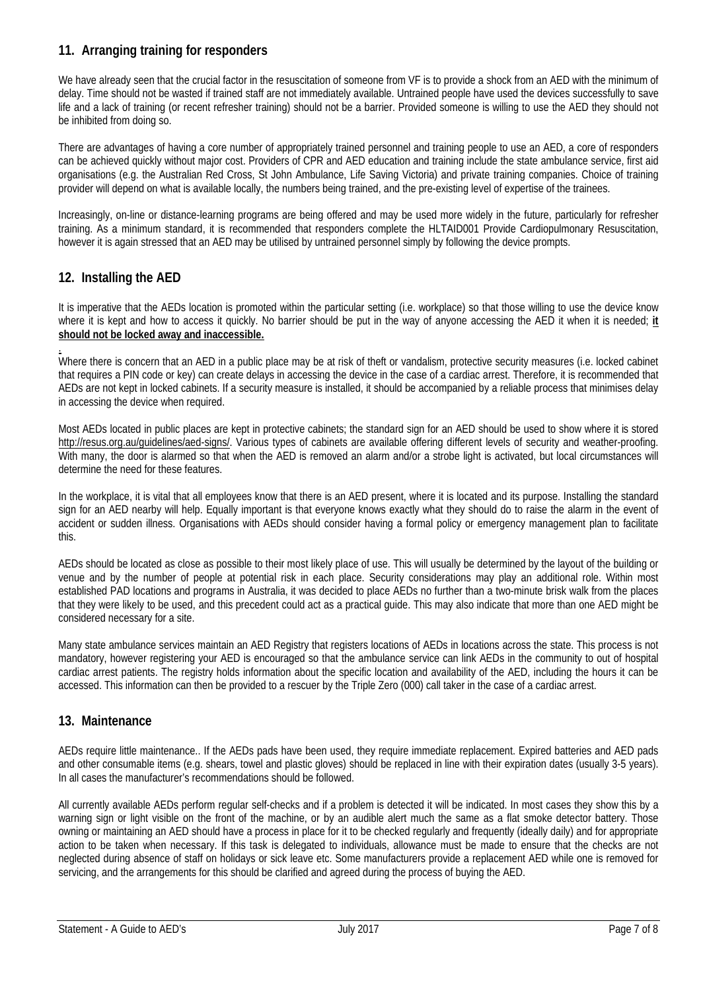## **11. Arranging training for responders**

We have already seen that the crucial factor in the resuscitation of someone from VF is to provide a shock from an AED with the minimum of delay. Time should not be wasted if trained staff are not immediately available. Untrained people have used the devices successfully to save life and a lack of training (or recent refresher training) should not be a barrier. Provided someone is willing to use the AED they should not be inhibited from doing so.

There are advantages of having a core number of appropriately trained personnel and training people to use an AED, a core of responders can be achieved quickly without major cost. Providers of CPR and AED education and training include the state ambulance service, first aid organisations (e.g. the Australian Red Cross, St John Ambulance, Life Saving Victoria) and private training companies. Choice of training provider will depend on what is available locally, the numbers being trained, and the pre-existing level of expertise of the trainees.

Increasingly, on-line or distance-learning programs are being offered and may be used more widely in the future, particularly for refresher training. As a minimum standard, it is recommended that responders complete the HLTAID001 Provide Cardiopulmonary Resuscitation, however it is again stressed that an AED may be utilised by untrained personnel simply by following the device prompts.

## **12. Installing the AED**

It is imperative that the AEDs location is promoted within the particular setting (i.e. workplace) so that those willing to use the device know where it is kept and how to access it quickly. No barrier should be put in the way of anyone accessing the AED it when it is needed; **it should not be locked away and inaccessible.**

. Where there is concern that an AED in a public place may be at risk of theft or vandalism, protective security measures (i.e. locked cabinet that requires a PIN code or key) can create delays in accessing the device in the case of a cardiac arrest. Therefore, it is recommended that AEDs are not kept in locked cabinets. If a security measure is installed, it should be accompanied by a reliable process that minimises delay in accessing the device when required.

Most AEDs located in public places are kept in protective cabinets; the standard sign for an AED should be used to show where it is stored [http://resus.org.au/guidelines/aed-signs/.](http://resus.org.au/guidelines/aed-signs/) Various types of cabinets are available offering different levels of security and weather-proofing. With many, the door is alarmed so that when the AED is removed an alarm and/or a strobe light is activated, but local circumstances will determine the need for these features.

In the workplace, it is vital that all employees know that there is an AED present, where it is located and its purpose. Installing the standard sign for an AED nearby will help. Equally important is that everyone knows exactly what they should do to raise the alarm in the event of accident or sudden illness. Organisations with AEDs should consider having a formal policy or emergency management plan to facilitate this.

AEDs should be located as close as possible to their most likely place of use. This will usually be determined by the layout of the building or venue and by the number of people at potential risk in each place. Security considerations may play an additional role. Within most established PAD locations and programs in Australia, it was decided to place AEDs no further than a two-minute brisk walk from the places that they were likely to be used, and this precedent could act as a practical guide. This may also indicate that more than one AED might be considered necessary for a site.

Many state ambulance services maintain an AED Registry that registers locations of AEDs in locations across the state. This process is not mandatory, however registering your AED is encouraged so that the ambulance service can link AEDs in the community to out of hospital cardiac arrest patients. The registry holds information about the specific location and availability of the AED, including the hours it can be accessed. This information can then be provided to a rescuer by the Triple Zero (000) call taker in the case of a cardiac arrest.

## **13. Maintenance**

AEDs require little maintenance.. If the AEDs pads have been used, they require immediate replacement. Expired batteries and AED pads and other consumable items (e.g. shears, towel and plastic gloves) should be replaced in line with their expiration dates (usually 3-5 years). In all cases the manufacturer's recommendations should be followed.

All currently available AEDs perform regular self-checks and if a problem is detected it will be indicated. In most cases they show this by a warning sign or light visible on the front of the machine, or by an audible alert much the same as a flat smoke detector battery. Those owning or maintaining an AED should have a process in place for it to be checked regularly and frequently (ideally daily) and for appropriate action to be taken when necessary. If this task is delegated to individuals, allowance must be made to ensure that the checks are not neglected during absence of staff on holidays or sick leave etc. Some manufacturers provide a replacement AED while one is removed for servicing, and the arrangements for this should be clarified and agreed during the process of buying the AED.